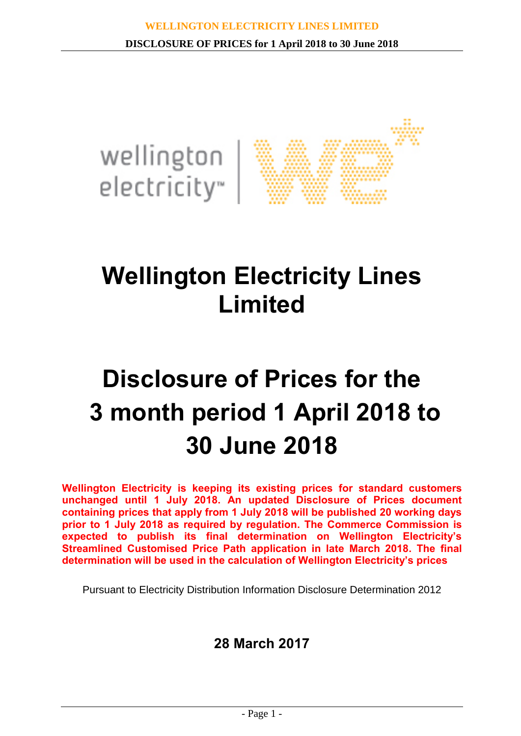

## **Wellington Electricity Lines Limited**

# **Disclosure of Prices for the 3 month period 1 April 2018 to 30 June 2018**

**Wellington Electricity is keeping its existing prices for standard customers unchanged until 1 July 2018. An updated Disclosure of Prices document containing prices that apply from 1 July 2018 will be published 20 working days prior to 1 July 2018 as required by regulation. The Commerce Commission is expected to publish its final determination on Wellington Electricity's Streamlined Customised Price Path application in late March 2018. The final determination will be used in the calculation of Wellington Electricity's prices**

Pursuant to Electricity Distribution Information Disclosure Determination 2012

## **28 March 2017**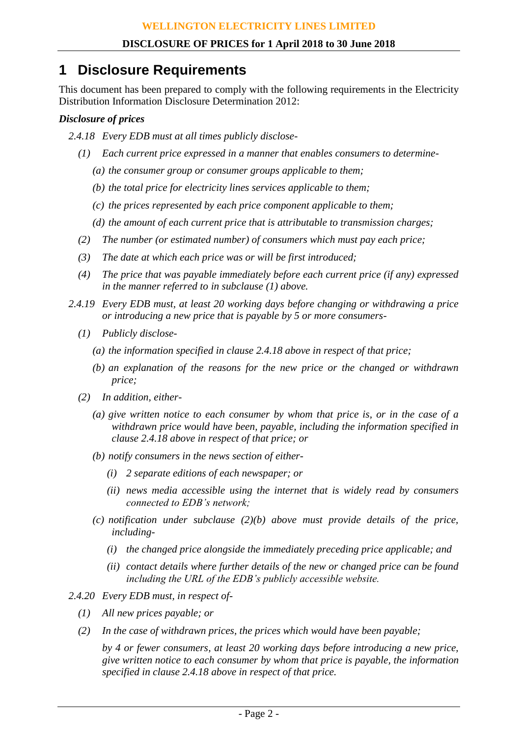## **1 Disclosure Requirements**

This document has been prepared to comply with the following requirements in the Electricity Distribution Information Disclosure Determination 2012:

### *Disclosure of prices*

- *2.4.18 Every EDB must at all times publicly disclose-*
	- *(1) Each current price expressed in a manner that enables consumers to determine-*
		- *(a) the consumer group or consumer groups applicable to them;*
		- *(b) the total price for electricity lines services applicable to them;*
		- *(c) the prices represented by each price component applicable to them;*
		- *(d) the amount of each current price that is attributable to transmission charges;*
	- *(2) The number (or estimated number) of consumers which must pay each price;*
	- *(3) The date at which each price was or will be first introduced;*
	- *(4) The price that was payable immediately before each current price (if any) expressed in the manner referred to in subclause (1) above.*
- *2.4.19 Every EDB must, at least 20 working days before changing or withdrawing a price or introducing a new price that is payable by 5 or more consumers-*
	- *(1) Publicly disclose-*
		- *(a) the information specified in clause 2.4.18 above in respect of that price;*
		- *(b) an explanation of the reasons for the new price or the changed or withdrawn price;*
	- *(2) In addition, either-*
		- *(a) give written notice to each consumer by whom that price is, or in the case of a withdrawn price would have been, payable, including the information specified in clause 2.4.18 above in respect of that price; or*
		- *(b) notify consumers in the news section of either-*
			- *(i) 2 separate editions of each newspaper; or*
			- *(ii) news media accessible using the internet that is widely read by consumers connected to EDB's network;*
		- *(c) notification under subclause (2)(b) above must provide details of the price, including-*
			- *(i) the changed price alongside the immediately preceding price applicable; and*
			- *(ii) contact details where further details of the new or changed price can be found including the URL of the EDB's publicly accessible website.*
- *2.4.20 Every EDB must, in respect of-*
	- *(1) All new prices payable; or*
	- *(2) In the case of withdrawn prices, the prices which would have been payable;*

*by 4 or fewer consumers, at least 20 working days before introducing a new price, give written notice to each consumer by whom that price is payable, the information specified in clause 2.4.18 above in respect of that price.*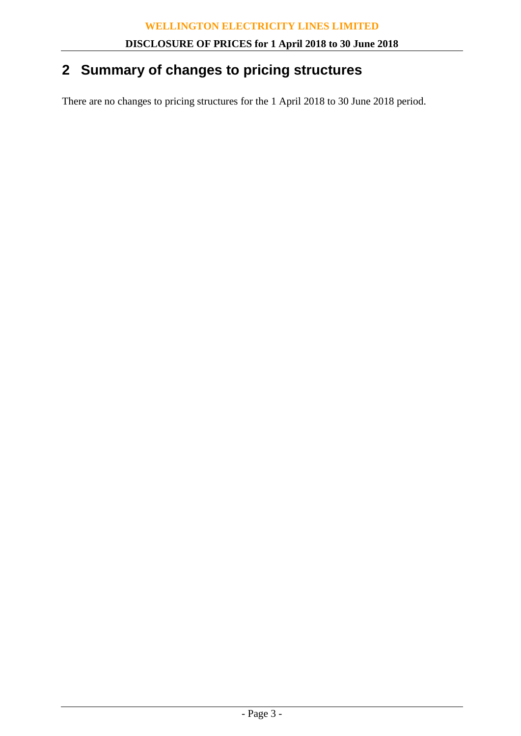## **2 Summary of changes to pricing structures**

There are no changes to pricing structures for the 1 April 2018 to 30 June 2018 period.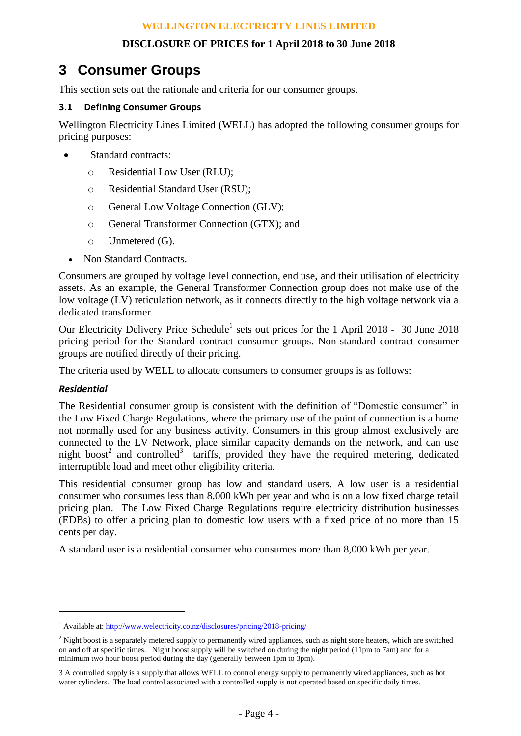### **3 Consumer Groups**

This section sets out the rationale and criteria for our consumer groups.

#### **3.1 Defining Consumer Groups**

Wellington Electricity Lines Limited (WELL) has adopted the following consumer groups for pricing purposes:

- Standard contracts:
	- o Residential Low User (RLU);
	- o Residential Standard User (RSU);
	- o General Low Voltage Connection (GLV);
	- o General Transformer Connection (GTX); and
	- o Unmetered (G).
	- Non Standard Contracts.

Consumers are grouped by voltage level connection, end use, and their utilisation of electricity assets. As an example, the General Transformer Connection group does not make use of the low voltage (LV) reticulation network, as it connects directly to the high voltage network via a dedicated transformer.

Our Electricity Delivery Price Schedule<sup>1</sup> sets out prices for the 1 April 2018 - 30 June 2018 pricing period for the Standard contract consumer groups. Non-standard contract consumer groups are notified directly of their pricing.

The criteria used by WELL to allocate consumers to consumer groups is as follows:

#### *Residential*

 $\overline{a}$ 

The Residential consumer group is consistent with the definition of "Domestic consumer" in the Low Fixed Charge Regulations, where the primary use of the point of connection is a home not normally used for any business activity. Consumers in this group almost exclusively are connected to the LV Network, place similar capacity demands on the network, and can use night boost<sup>2</sup> and controlled<sup>3</sup> tariffs, provided they have the required metering, dedicated interruptible load and meet other eligibility criteria.

This residential consumer group has low and standard users. A low user is a residential consumer who consumes less than 8,000 kWh per year and who is on a low fixed charge retail pricing plan. The Low Fixed Charge Regulations require electricity distribution businesses (EDBs) to offer a pricing plan to domestic low users with a fixed price of no more than 15 cents per day.

A standard user is a residential consumer who consumes more than 8,000 kWh per year.

<sup>&</sup>lt;sup>1</sup> Available at:<http://www.welectricity.co.nz/disclosures/pricing/2018-pricing/>

 $<sup>2</sup>$  Night boost is a separately metered supply to permanently wired appliances, such as night store heaters, which are switched</sup> on and off at specific times. Night boost supply will be switched on during the night period (11pm to 7am) and for a minimum two hour boost period during the day (generally between 1pm to 3pm).

<sup>3</sup> A controlled supply is a supply that allows WELL to control energy supply to permanently wired appliances, such as hot water cylinders. The load control associated with a controlled supply is not operated based on specific daily times.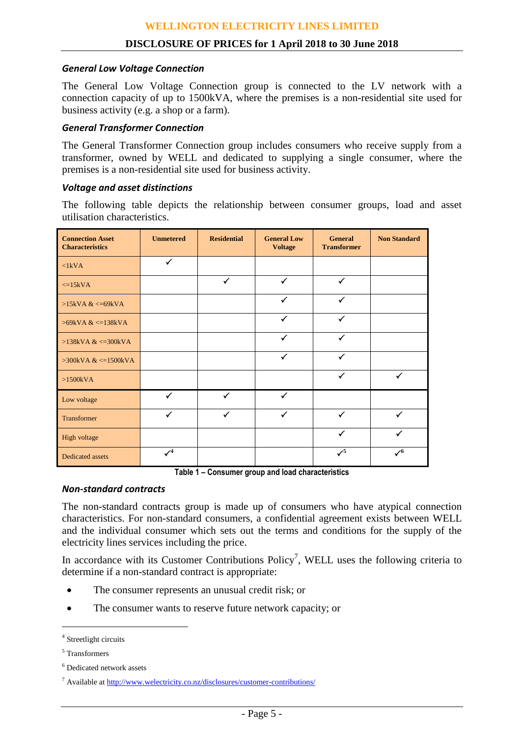#### *General Low Voltage Connection*

The General Low Voltage Connection group is connected to the LV network with a connection capacity of up to 1500kVA, where the premises is a non-residential site used for business activity (e.g. a shop or a farm).

#### *General Transformer Connection*

The General Transformer Connection group includes consumers who receive supply from a transformer, owned by WELL and dedicated to supplying a single consumer, where the premises is a non-residential site used for business activity.

#### *Voltage and asset distinctions*

The following table depicts the relationship between consumer groups, load and asset utilisation characteristics.

| <b>Connection Asset</b><br><b>Characteristics</b> | <b>Unmetered</b> | <b>Residential</b> | <b>General Low</b><br><b>Voltage</b> | <b>General</b><br><b>Transformer</b> | <b>Non Standard</b>       |  |
|---------------------------------------------------|------------------|--------------------|--------------------------------------|--------------------------------------|---------------------------|--|
| $\langle$ 1kVA                                    | $\checkmark$     |                    |                                      |                                      |                           |  |
| $\leq$ =15kVA                                     |                  | $\checkmark$       | $\checkmark$                         | $\checkmark$                         |                           |  |
| $>15kVA <=69kVA$                                  |                  |                    | $\checkmark$                         | $\checkmark$                         |                           |  |
| $>69$ kVA & $\lt$ =138kVA                         |                  |                    | ✓                                    | ✓                                    |                           |  |
| $>138kVA <=300kVA$                                |                  |                    | $\checkmark$                         | ✓                                    |                           |  |
| $>300$ kVA & $\leq 1500$ kVA                      |                  |                    | $\checkmark$                         | $\checkmark$                         |                           |  |
| $>1500kVA$                                        |                  |                    |                                      | $\checkmark$                         | $\checkmark$              |  |
| Low voltage                                       | $\checkmark$     | $\checkmark$       | $\checkmark$                         |                                      |                           |  |
| Transformer                                       | $\checkmark$     | $\checkmark$       | $\checkmark$                         | $\checkmark$                         | $\checkmark$              |  |
| High voltage                                      |                  |                    |                                      | ✓                                    | ✓                         |  |
| <b>Dedicated assets</b>                           | $\mathcal{V}^4$  |                    |                                      | $\checkmark$                         | $\checkmark$ <sup>6</sup> |  |

**Table 1 – Consumer group and load characteristics**

#### *Non-standard contracts*

The non-standard contracts group is made up of consumers who have atypical connection characteristics. For non-standard consumers, a confidential agreement exists between WELL and the individual consumer which sets out the terms and conditions for the supply of the electricity lines services including the price.

In accordance with its Customer Contributions  $Policy^7$ , WELL uses the following criteria to determine if a non-standard contract is appropriate:

- The consumer represents an unusual credit risk; or
- The consumer wants to reserve future network capacity; or

 $\overline{a}$ 

<sup>4</sup> Streetlight circuits

<sup>5</sup> Transformers

<sup>6</sup> Dedicated network assets

<sup>7</sup> Available at<http://www.welectricity.co.nz/disclosures/customer-contributions/>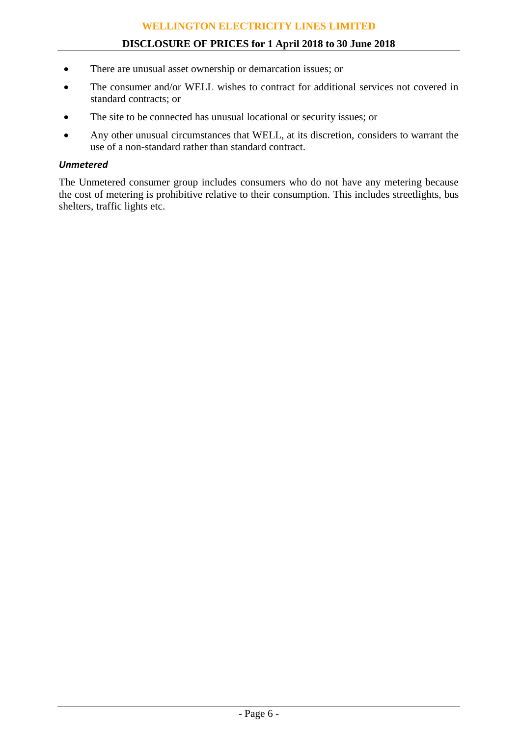#### **DISCLOSURE OF PRICES for 1 April 2018 to 30 June 2018**

- There are unusual asset ownership or demarcation issues; or
- The consumer and/or WELL wishes to contract for additional services not covered in standard contracts; or
- The site to be connected has unusual locational or security issues; or
- Any other unusual circumstances that WELL, at its discretion, considers to warrant the use of a non-standard rather than standard contract.

#### *Unmetered*

The Unmetered consumer group includes consumers who do not have any metering because the cost of metering is prohibitive relative to their consumption. This includes streetlights, bus shelters, traffic lights etc.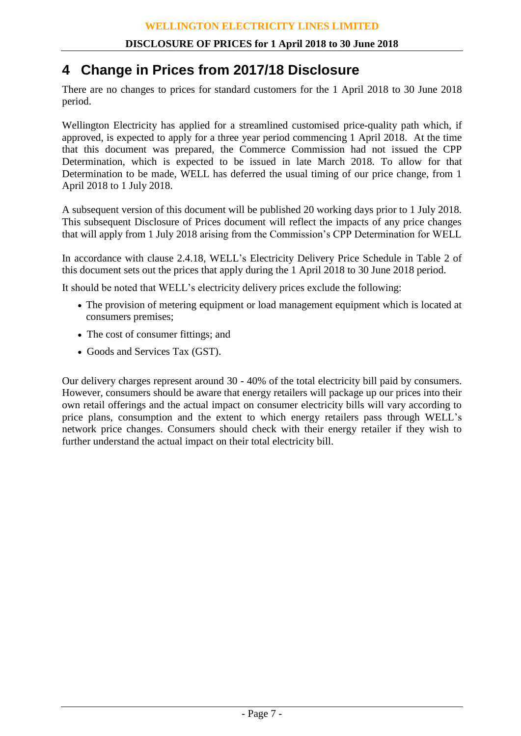## **4 Change in Prices from 2017/18 Disclosure**

There are no changes to prices for standard customers for the 1 April 2018 to 30 June 2018 period.

Wellington Electricity has applied for a streamlined customised price-quality path which, if approved, is expected to apply for a three year period commencing 1 April 2018. At the time that this document was prepared, the Commerce Commission had not issued the CPP Determination, which is expected to be issued in late March 2018. To allow for that Determination to be made, WELL has deferred the usual timing of our price change, from 1 April 2018 to 1 July 2018.

A subsequent version of this document will be published 20 working days prior to 1 July 2018. This subsequent Disclosure of Prices document will reflect the impacts of any price changes that will apply from 1 July 2018 arising from the Commission's CPP Determination for WELL

In accordance with clause 2.4.18, WELL's Electricity Delivery Price Schedule in Table 2 of this document sets out the prices that apply during the 1 April 2018 to 30 June 2018 period.

It should be noted that WELL's electricity delivery prices exclude the following:

- The provision of metering equipment or load management equipment which is located at consumers premises;
- The cost of consumer fittings; and
- Goods and Services Tax (GST).

Our delivery charges represent around 30 - 40% of the total electricity bill paid by consumers. However, consumers should be aware that energy retailers will package up our prices into their own retail offerings and the actual impact on consumer electricity bills will vary according to price plans, consumption and the extent to which energy retailers pass through WELL's network price changes. Consumers should check with their energy retailer if they wish to further understand the actual impact on their total electricity bill.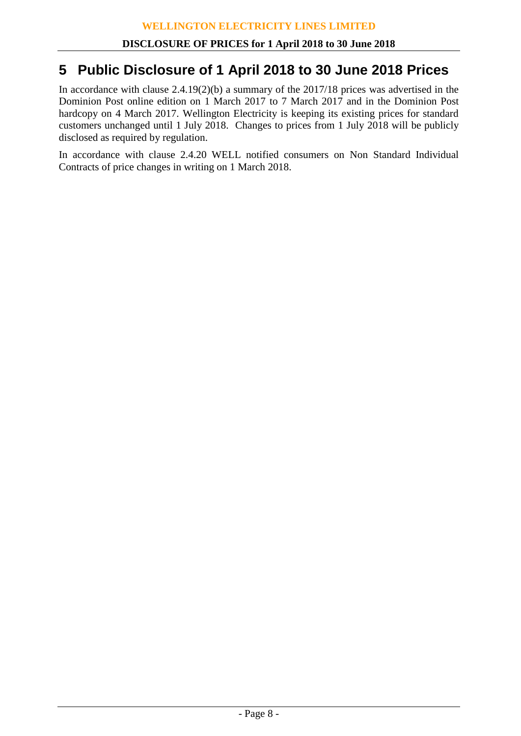## **5 Public Disclosure of 1 April 2018 to 30 June 2018 Prices**

In accordance with clause 2.4.19(2)(b) a summary of the 2017/18 prices was advertised in the Dominion Post online edition on 1 March 2017 to 7 March 2017 and in the Dominion Post hardcopy on 4 March 2017. Wellington Electricity is keeping its existing prices for standard customers unchanged until 1 July 2018. Changes to prices from 1 July 2018 will be publicly disclosed as required by regulation.

In accordance with clause 2.4.20 WELL notified consumers on Non Standard Individual Contracts of price changes in writing on 1 March 2018.